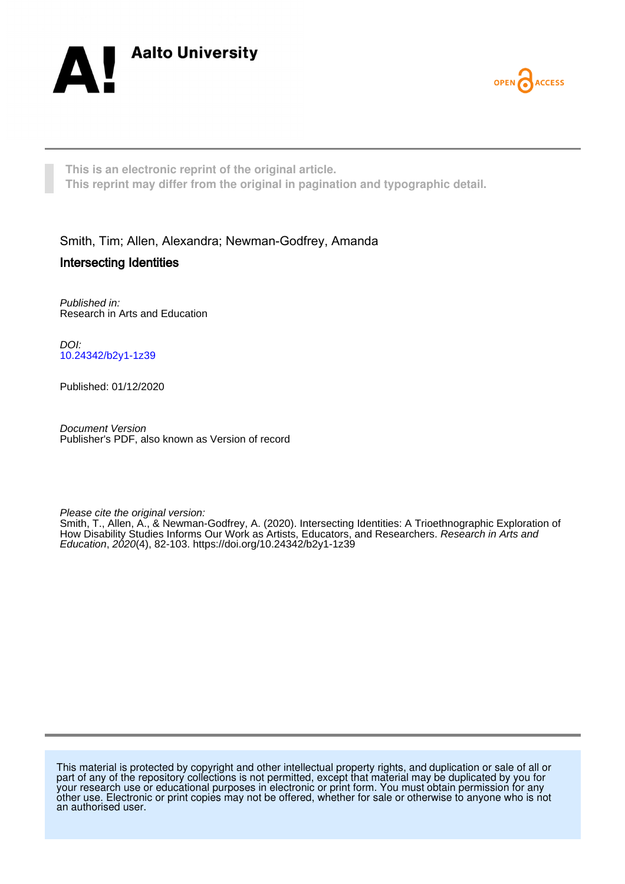



**This is an electronic reprint of the original article. This reprint may differ from the original in pagination and typographic detail.**

Smith, Tim; Allen, Alexandra; Newman-Godfrey, Amanda Intersecting Identities

Published in: Research in Arts and Education

DOI: [10.24342/b2y1-1z39](https://doi.org/10.24342/b2y1-1z39)

Published: 01/12/2020

Document Version Publisher's PDF, also known as Version of record

Please cite the original version:

Smith, T., Allen, A., & Newman-Godfrey, A. (2020). Intersecting Identities: A Trioethnographic Exploration of How Disability Studies Informs Our Work as Artists, Educators, and Researchers. Research in Arts and Education, 2020(4), 82-103. <https://doi.org/10.24342/b2y1-1z39>

This material is protected by copyright and other intellectual property rights, and duplication or sale of all or part of any of the repository collections is not permitted, except that material may be duplicated by you for your research use or educational purposes in electronic or print form. You must obtain permission for any other use. Electronic or print copies may not be offered, whether for sale or otherwise to anyone who is not an authorised user.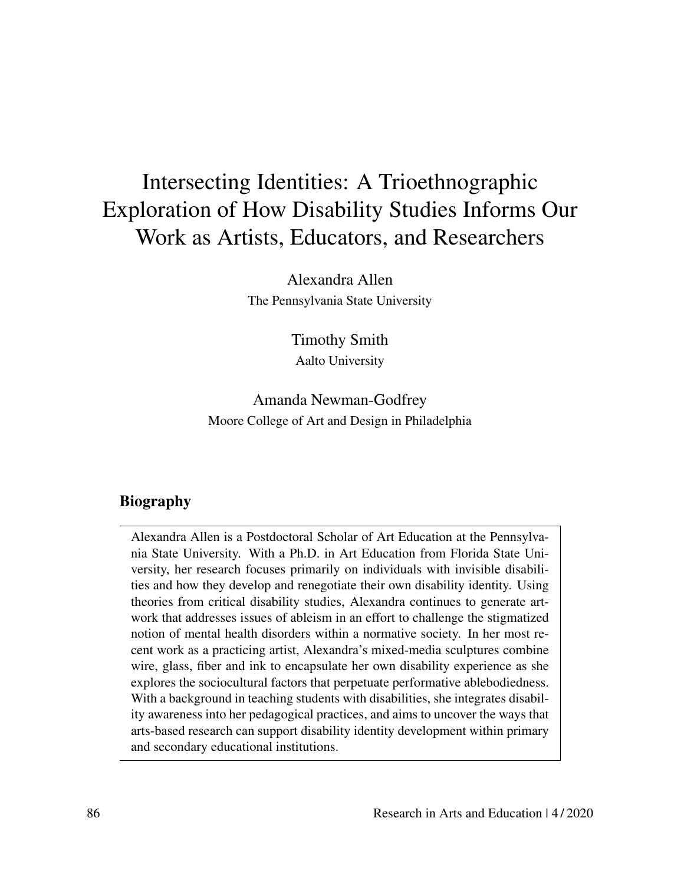# Intersecting Identities: A Trioethnographic Exploration of How Disability Studies Informs Our Work as Artists, Educators, and Researchers

Alexandra Allen The Pennsylvania State University

> Timothy Smith Aalto University

# Amanda Newman-Godfrey Moore College of Art and Design in Philadelphia

# Biography

Alexandra Allen is a Postdoctoral Scholar of Art Education at the Pennsylvania State University. With a Ph.D. in Art Education from Florida State University, her research focuses primarily on individuals with invisible disabilities and how they develop and renegotiate their own disability identity. Using theories from critical disability studies, Alexandra continues to generate artwork that addresses issues of ableism in an effort to challenge the stigmatized notion of mental health disorders within a normative society. In her most recent work as a practicing artist, Alexandra's mixed-media sculptures combine wire, glass, fiber and ink to encapsulate her own disability experience as she explores the sociocultural factors that perpetuate performative ablebodiedness. With a background in teaching students with disabilities, she integrates disability awareness into her pedagogical practices, and aims to uncover the ways that arts-based research can support disability identity development within primary and secondary educational institutions.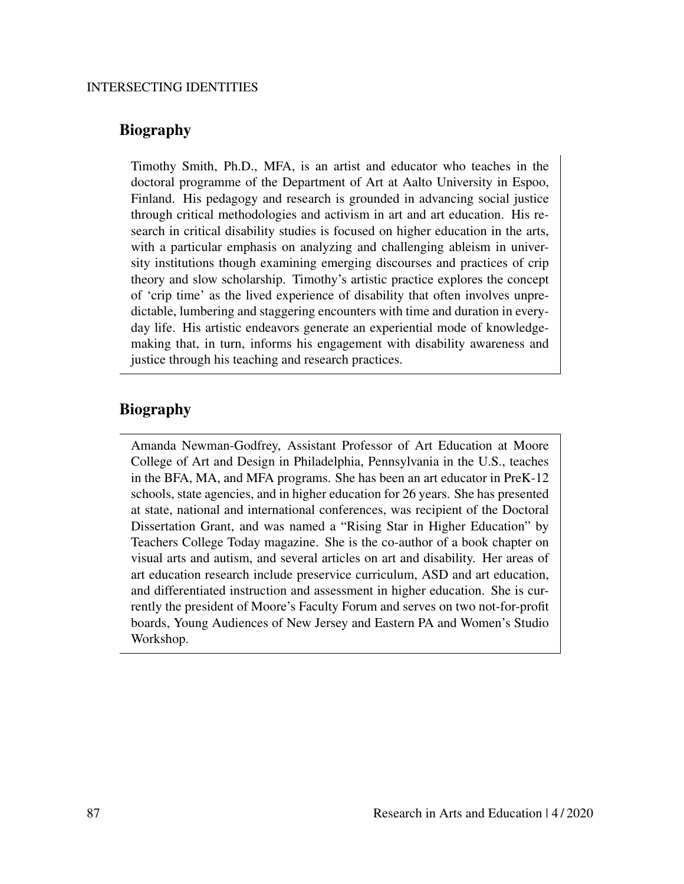# Biography

Timothy Smith, Ph.D., MFA, is an artist and educator who teaches in the doctoral programme of the Department of Art at Aalto University in Espoo, Finland. His pedagogy and research is grounded in advancing social justice through critical methodologies and activism in art and art education. His research in critical disability studies is focused on higher education in the arts, with a particular emphasis on analyzing and challenging ableism in university institutions though examining emerging discourses and practices of crip theory and slow scholarship. Timothy's artistic practice explores the concept of 'crip time' as the lived experience of disability that often involves unpredictable, lumbering and staggering encounters with time and duration in everyday life. His artistic endeavors generate an experiential mode of knowledgemaking that, in turn, informs his engagement with disability awareness and justice through his teaching and research practices.

# Biography

Amanda Newman-Godfrey, Assistant Professor of Art Education at Moore College of Art and Design in Philadelphia, Pennsylvania in the U.S., teaches in the BFA, MA, and MFA programs. She has been an art educator in PreK-12 schools, state agencies, and in higher education for 26 years. She has presented at state, national and international conferences, was recipient of the Doctoral Dissertation Grant, and was named a "Rising Star in Higher Education" by Teachers College Today magazine. She is the co-author of a book chapter on visual arts and autism, and several articles on art and disability. Her areas of art education research include preservice curriculum, ASD and art education, and differentiated instruction and assessment in higher education. She is currently the president of Moore's Faculty Forum and serves on two not-for-profit boards, Young Audiences of New Jersey and Eastern PA and Women's Studio Workshop.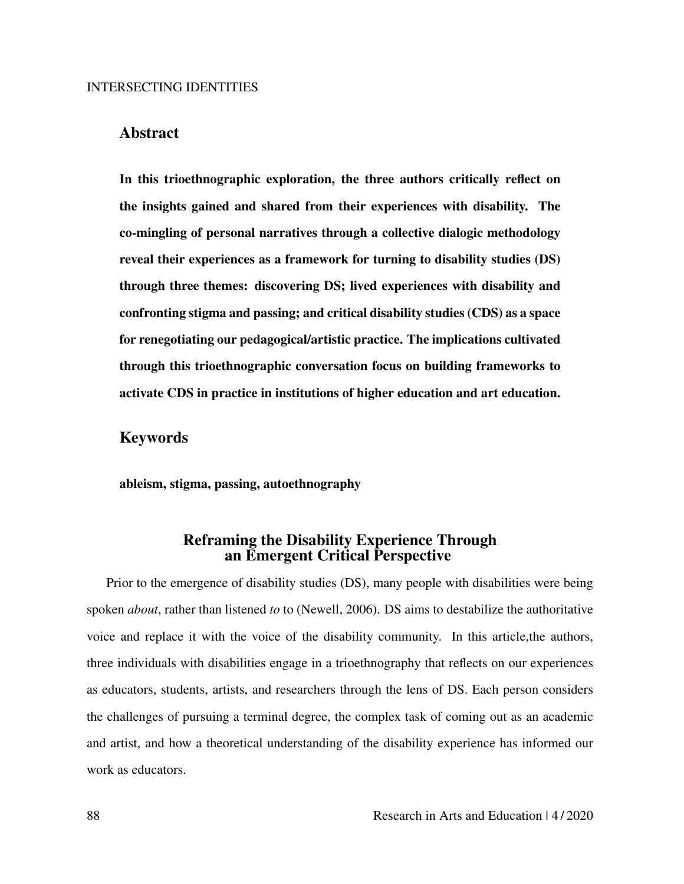# Abstract

In this trioethnographic exploration, the three authors critically reflect on the insights gained and shared from their experiences with disability. The co-mingling of personal narratives through a collective dialogic methodology reveal their experiences as a framework for turning to disability studies (DS) through three themes: discovering DS; lived experiences with disability and confronting stigma and passing; and critical disability studies (CDS) as a space for renegotiating our pedagogical/artistic practice. The implications cultivated through this trioethnographic conversation focus on building frameworks to activate CDS in practice in institutions of higher education and art education.

# Keywords

ableism, stigma, passing, autoethnography

# Reframing the Disability Experience Through an Emergent Critical Perspective

Prior to the emergence of disability studies (DS), many people with disabilities were being spoken *about*, rather than listened *to* to (Newell, 2006). DS aims to destabilize the authoritative voice and replace it with the voice of the disability community. In this article,the authors, three individuals with disabilities engage in a trioethnography that reflects on our experiences as educators, students, artists, and researchers through the lens of DS. Each person considers the challenges of pursuing a terminal degree, the complex task of coming out as an academic and artist, and how a theoretical understanding of the disability experience has informed our work as educators.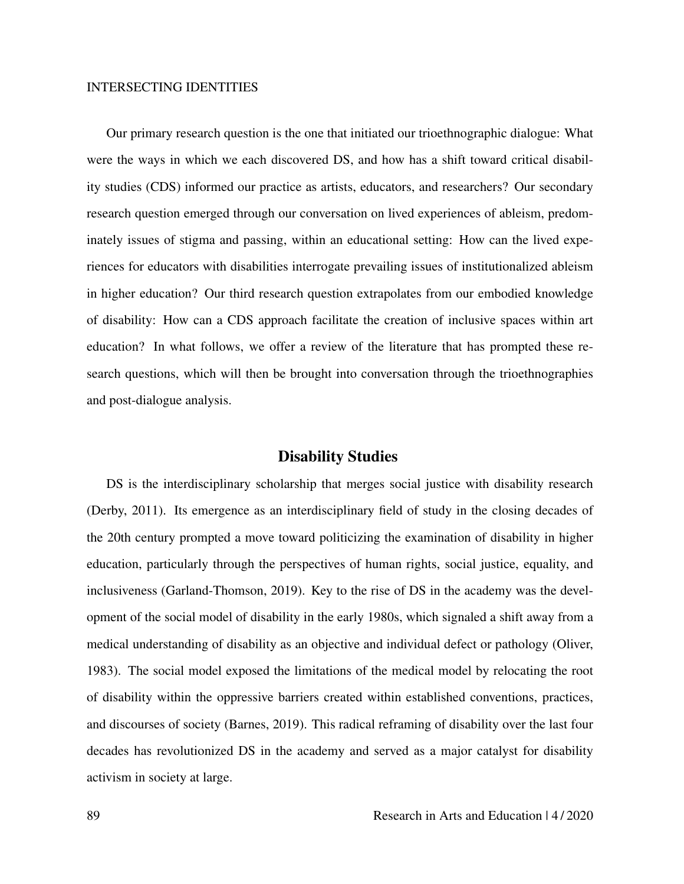Our primary research question is the one that initiated our trioethnographic dialogue: What were the ways in which we each discovered DS, and how has a shift toward critical disability studies (CDS) informed our practice as artists, educators, and researchers? Our secondary research question emerged through our conversation on lived experiences of ableism, predominately issues of stigma and passing, within an educational setting: How can the lived experiences for educators with disabilities interrogate prevailing issues of institutionalized ableism in higher education? Our third research question extrapolates from our embodied knowledge of disability: How can a CDS approach facilitate the creation of inclusive spaces within art education? In what follows, we offer a review of the literature that has prompted these research questions, which will then be brought into conversation through the trioethnographies and post-dialogue analysis.

# Disability Studies

DS is the interdisciplinary scholarship that merges social justice with disability research (Derby, 2011). Its emergence as an interdisciplinary field of study in the closing decades of the 20th century prompted a move toward politicizing the examination of disability in higher education, particularly through the perspectives of human rights, social justice, equality, and inclusiveness (Garland-Thomson, 2019). Key to the rise of DS in the academy was the development of the social model of disability in the early 1980s, which signaled a shift away from a medical understanding of disability as an objective and individual defect or pathology (Oliver, 1983). The social model exposed the limitations of the medical model by relocating the root of disability within the oppressive barriers created within established conventions, practices, and discourses of society (Barnes, 2019). This radical reframing of disability over the last four decades has revolutionized DS in the academy and served as a major catalyst for disability activism in society at large.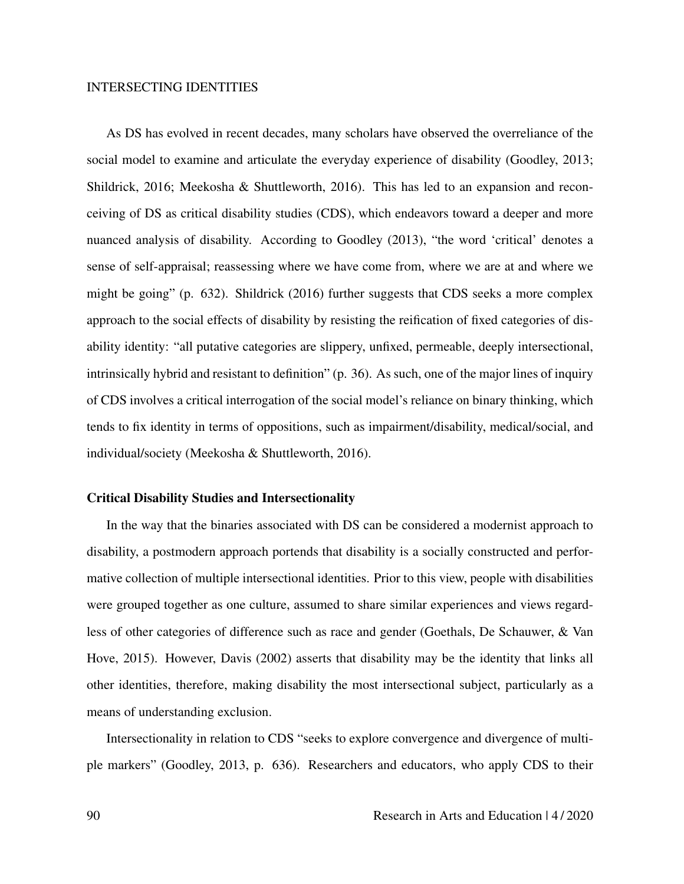As DS has evolved in recent decades, many scholars have observed the overreliance of the social model to examine and articulate the everyday experience of disability (Goodley, 2013; Shildrick, 2016; Meekosha & Shuttleworth, 2016). This has led to an expansion and reconceiving of DS as critical disability studies (CDS), which endeavors toward a deeper and more nuanced analysis of disability. According to Goodley (2013), "the word 'critical' denotes a sense of self-appraisal; reassessing where we have come from, where we are at and where we might be going" (p. 632). Shildrick (2016) further suggests that CDS seeks a more complex approach to the social effects of disability by resisting the reification of fixed categories of disability identity: "all putative categories are slippery, unfixed, permeable, deeply intersectional, intrinsically hybrid and resistant to definition" (p. 36). As such, one of the major lines of inquiry of CDS involves a critical interrogation of the social model's reliance on binary thinking, which tends to fix identity in terms of oppositions, such as impairment/disability, medical/social, and individual/society (Meekosha & Shuttleworth, 2016).

#### Critical Disability Studies and Intersectionality

In the way that the binaries associated with DS can be considered a modernist approach to disability, a postmodern approach portends that disability is a socially constructed and performative collection of multiple intersectional identities. Prior to this view, people with disabilities were grouped together as one culture, assumed to share similar experiences and views regardless of other categories of difference such as race and gender (Goethals, De Schauwer, & Van Hove, 2015). However, Davis (2002) asserts that disability may be the identity that links all other identities, therefore, making disability the most intersectional subject, particularly as a means of understanding exclusion.

Intersectionality in relation to CDS "seeks to explore convergence and divergence of multiple markers" (Goodley, 2013, p. 636). Researchers and educators, who apply CDS to their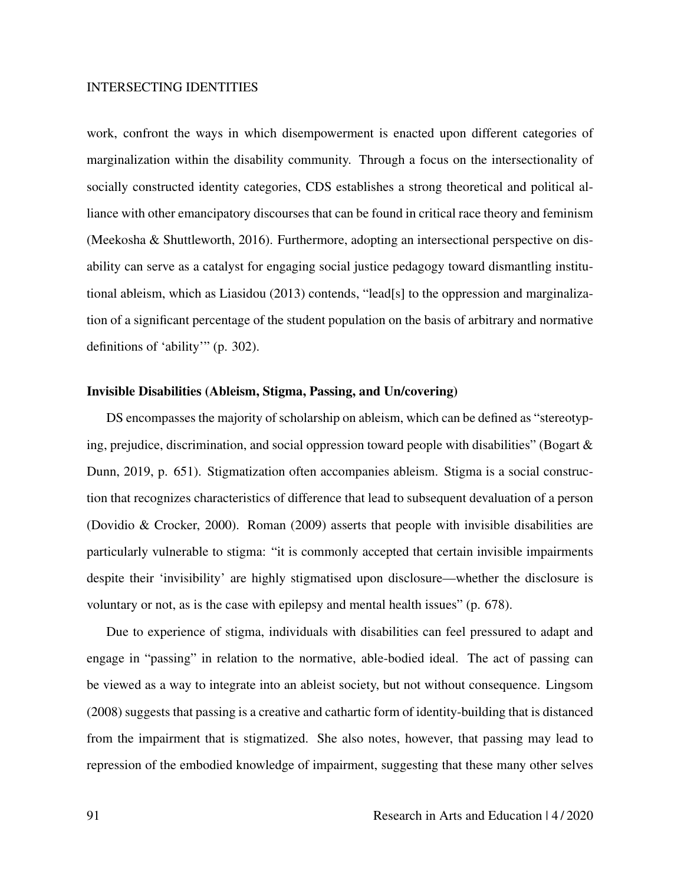work, confront the ways in which disempowerment is enacted upon different categories of marginalization within the disability community. Through a focus on the intersectionality of socially constructed identity categories, CDS establishes a strong theoretical and political alliance with other emancipatory discourses that can be found in critical race theory and feminism (Meekosha & Shuttleworth, 2016). Furthermore, adopting an intersectional perspective on disability can serve as a catalyst for engaging social justice pedagogy toward dismantling institutional ableism, which as Liasidou (2013) contends, "lead[s] to the oppression and marginalization of a significant percentage of the student population on the basis of arbitrary and normative definitions of 'ability'" (p. 302).

#### Invisible Disabilities (Ableism, Stigma, Passing, and Un/covering)

DS encompasses the majority of scholarship on ableism, which can be defined as "stereotyping, prejudice, discrimination, and social oppression toward people with disabilities" (Bogart & Dunn, 2019, p. 651). Stigmatization often accompanies ableism. Stigma is a social construction that recognizes characteristics of difference that lead to subsequent devaluation of a person (Dovidio & Crocker, 2000). Roman (2009) asserts that people with invisible disabilities are particularly vulnerable to stigma: "it is commonly accepted that certain invisible impairments despite their 'invisibility' are highly stigmatised upon disclosure—whether the disclosure is voluntary or not, as is the case with epilepsy and mental health issues" (p. 678).

Due to experience of stigma, individuals with disabilities can feel pressured to adapt and engage in "passing" in relation to the normative, able-bodied ideal. The act of passing can be viewed as a way to integrate into an ableist society, but not without consequence. Lingsom (2008) suggests that passing is a creative and cathartic form of identity-building that is distanced from the impairment that is stigmatized. She also notes, however, that passing may lead to repression of the embodied knowledge of impairment, suggesting that these many other selves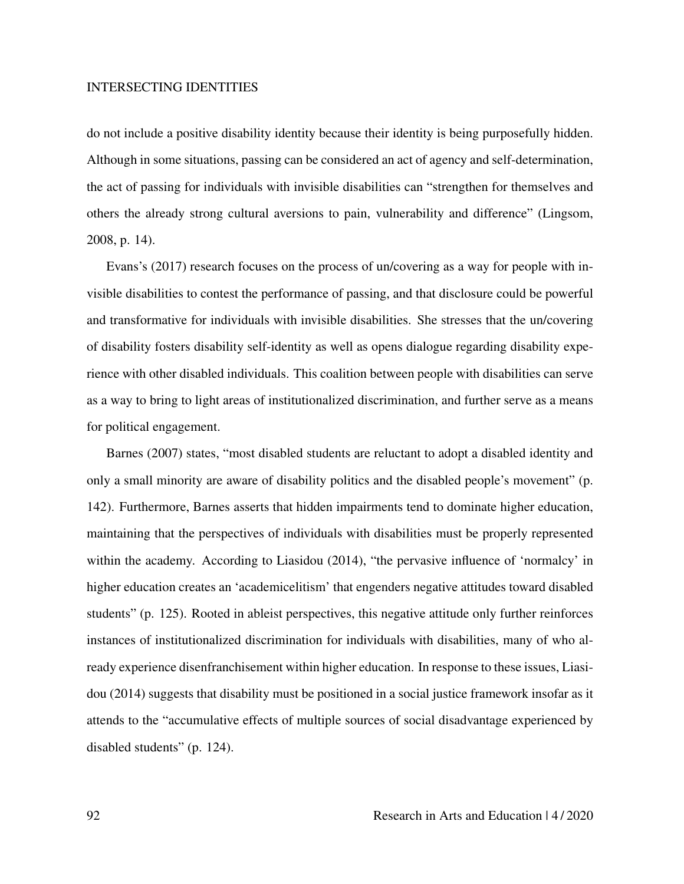do not include a positive disability identity because their identity is being purposefully hidden. Although in some situations, passing can be considered an act of agency and self-determination, the act of passing for individuals with invisible disabilities can "strengthen for themselves and others the already strong cultural aversions to pain, vulnerability and difference" (Lingsom, 2008, p. 14).

Evans's (2017) research focuses on the process of un/covering as a way for people with invisible disabilities to contest the performance of passing, and that disclosure could be powerful and transformative for individuals with invisible disabilities. She stresses that the un/covering of disability fosters disability self-identity as well as opens dialogue regarding disability experience with other disabled individuals. This coalition between people with disabilities can serve as a way to bring to light areas of institutionalized discrimination, and further serve as a means for political engagement.

Barnes (2007) states, "most disabled students are reluctant to adopt a disabled identity and only a small minority are aware of disability politics and the disabled people's movement" (p. 142). Furthermore, Barnes asserts that hidden impairments tend to dominate higher education, maintaining that the perspectives of individuals with disabilities must be properly represented within the academy. According to Liasidou (2014), "the pervasive influence of 'normalcy' in higher education creates an 'academicelitism' that engenders negative attitudes toward disabled students" (p. 125). Rooted in ableist perspectives, this negative attitude only further reinforces instances of institutionalized discrimination for individuals with disabilities, many of who already experience disenfranchisement within higher education. In response to these issues, Liasidou (2014) suggests that disability must be positioned in a social justice framework insofar as it attends to the "accumulative effects of multiple sources of social disadvantage experienced by disabled students" (p. 124).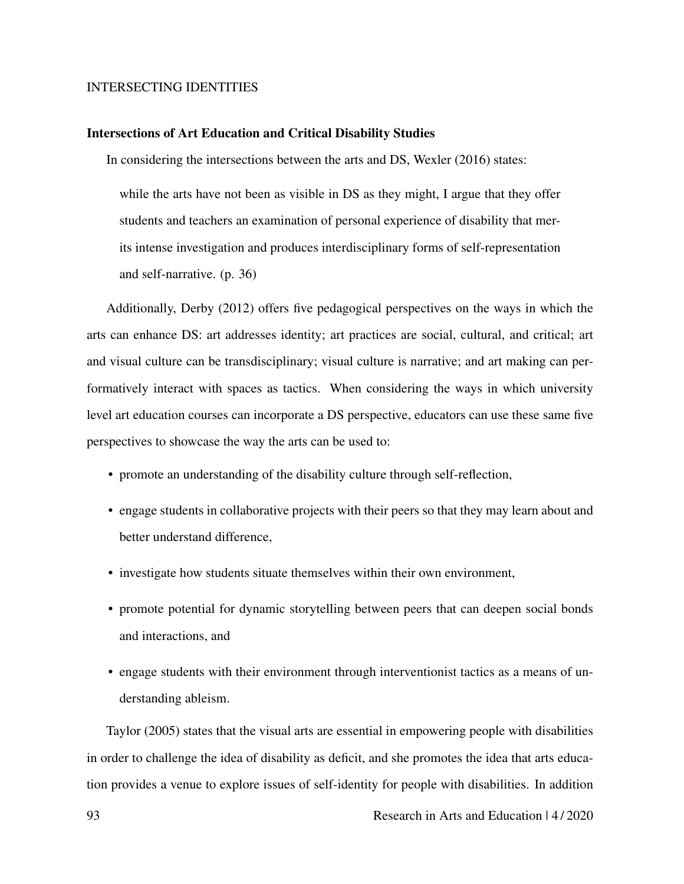#### Intersections of Art Education and Critical Disability Studies

In considering the intersections between the arts and DS, Wexler (2016) states:

while the arts have not been as visible in DS as they might, I argue that they offer students and teachers an examination of personal experience of disability that merits intense investigation and produces interdisciplinary forms of self-representation and self-narrative. (p. 36)

Additionally, Derby (2012) offers five pedagogical perspectives on the ways in which the arts can enhance DS: art addresses identity; art practices are social, cultural, and critical; art and visual culture can be transdisciplinary; visual culture is narrative; and art making can performatively interact with spaces as tactics. When considering the ways in which university level art education courses can incorporate a DS perspective, educators can use these same five perspectives to showcase the way the arts can be used to:

- promote an understanding of the disability culture through self-reflection,
- engage students in collaborative projects with their peers so that they may learn about and better understand difference,
- investigate how students situate themselves within their own environment,
- promote potential for dynamic storytelling between peers that can deepen social bonds and interactions, and
- engage students with their environment through interventionist tactics as a means of understanding ableism.

Taylor (2005) states that the visual arts are essential in empowering people with disabilities in order to challenge the idea of disability as deficit, and she promotes the idea that arts education provides a venue to explore issues of self-identity for people with disabilities. In addition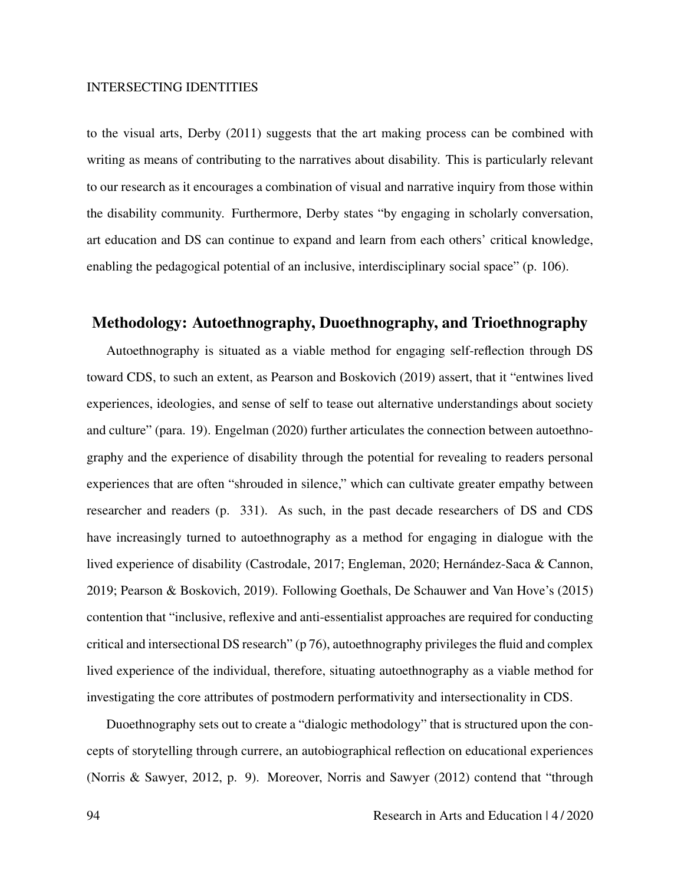to the visual arts, Derby (2011) suggests that the art making process can be combined with writing as means of contributing to the narratives about disability. This is particularly relevant to our research as it encourages a combination of visual and narrative inquiry from those within the disability community. Furthermore, Derby states "by engaging in scholarly conversation, art education and DS can continue to expand and learn from each others' critical knowledge, enabling the pedagogical potential of an inclusive, interdisciplinary social space" (p. 106).

# Methodology: Autoethnography, Duoethnography, and Trioethnography

Autoethnography is situated as a viable method for engaging self-reflection through DS toward CDS, to such an extent, as Pearson and Boskovich (2019) assert, that it "entwines lived experiences, ideologies, and sense of self to tease out alternative understandings about society and culture" (para. 19). Engelman (2020) further articulates the connection between autoethnography and the experience of disability through the potential for revealing to readers personal experiences that are often "shrouded in silence," which can cultivate greater empathy between researcher and readers (p. 331). As such, in the past decade researchers of DS and CDS have increasingly turned to autoethnography as a method for engaging in dialogue with the lived experience of disability (Castrodale, 2017; Engleman, 2020; Hernández-Saca & Cannon, 2019; Pearson & Boskovich, 2019). Following Goethals, De Schauwer and Van Hove's (2015) contention that "inclusive, reflexive and anti-essentialist approaches are required for conducting critical and intersectional DS research" (p 76), autoethnography privileges the fluid and complex lived experience of the individual, therefore, situating autoethnography as a viable method for investigating the core attributes of postmodern performativity and intersectionality in CDS.

Duoethnography sets out to create a "dialogic methodology" that is structured upon the concepts of storytelling through currere, an autobiographical reflection on educational experiences (Norris & Sawyer, 2012, p. 9). Moreover, Norris and Sawyer (2012) contend that "through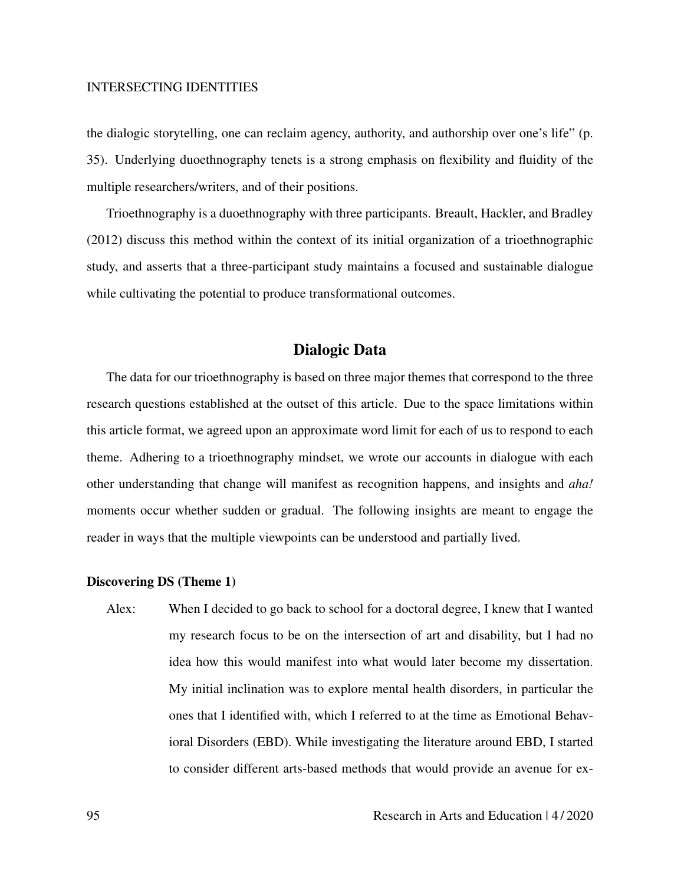the dialogic storytelling, one can reclaim agency, authority, and authorship over one's life" (p. 35). Underlying duoethnography tenets is a strong emphasis on flexibility and fluidity of the multiple researchers/writers, and of their positions.

Trioethnography is a duoethnography with three participants. Breault, Hackler, and Bradley (2012) discuss this method within the context of its initial organization of a trioethnographic study, and asserts that a three-participant study maintains a focused and sustainable dialogue while cultivating the potential to produce transformational outcomes.

# Dialogic Data

The data for our trioethnography is based on three major themes that correspond to the three research questions established at the outset of this article. Due to the space limitations within this article format, we agreed upon an approximate word limit for each of us to respond to each theme. Adhering to a trioethnography mindset, we wrote our accounts in dialogue with each other understanding that change will manifest as recognition happens, and insights and *aha!* moments occur whether sudden or gradual. The following insights are meant to engage the reader in ways that the multiple viewpoints can be understood and partially lived.

#### Discovering DS (Theme 1)

Alex: When I decided to go back to school for a doctoral degree, I knew that I wanted my research focus to be on the intersection of art and disability, but I had no idea how this would manifest into what would later become my dissertation. My initial inclination was to explore mental health disorders, in particular the ones that I identified with, which I referred to at the time as Emotional Behavioral Disorders (EBD). While investigating the literature around EBD, I started to consider different arts-based methods that would provide an avenue for ex-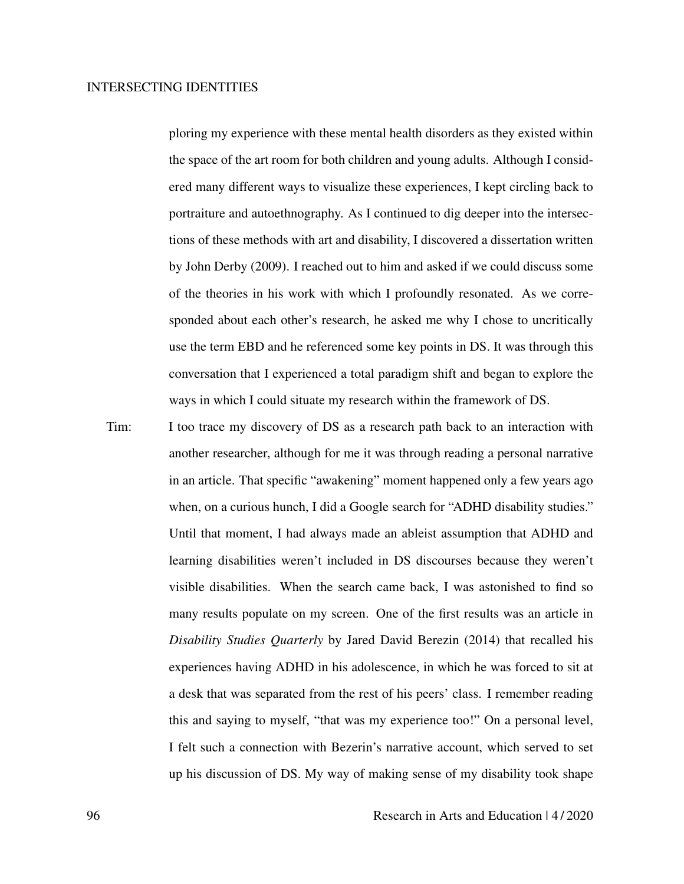ploring my experience with these mental health disorders as they existed within the space of the art room for both children and young adults. Although I considered many different ways to visualize these experiences, I kept circling back to portraiture and autoethnography. As I continued to dig deeper into the intersections of these methods with art and disability, I discovered a dissertation written by John Derby (2009). I reached out to him and asked if we could discuss some of the theories in his work with which I profoundly resonated. As we corresponded about each other's research, he asked me why I chose to uncritically use the term EBD and he referenced some key points in DS. It was through this conversation that I experienced a total paradigm shift and began to explore the ways in which I could situate my research within the framework of DS.

Tim: I too trace my discovery of DS as a research path back to an interaction with another researcher, although for me it was through reading a personal narrative in an article. That specific "awakening" moment happened only a few years ago when, on a curious hunch, I did a Google search for "ADHD disability studies." Until that moment, I had always made an ableist assumption that ADHD and learning disabilities weren't included in DS discourses because they weren't visible disabilities. When the search came back, I was astonished to find so many results populate on my screen. One of the first results was an article in *Disability Studies Quarterly* by Jared David Berezin (2014) that recalled his experiences having ADHD in his adolescence, in which he was forced to sit at a desk that was separated from the rest of his peers' class. I remember reading this and saying to myself, "that was my experience too!" On a personal level, I felt such a connection with Bezerin's narrative account, which served to set up his discussion of DS. My way of making sense of my disability took shape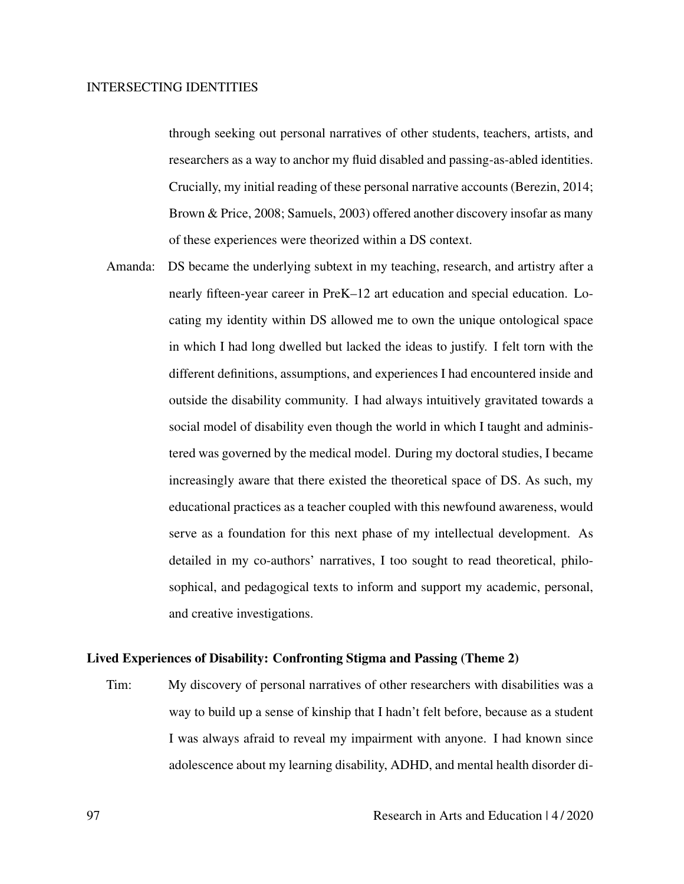through seeking out personal narratives of other students, teachers, artists, and researchers as a way to anchor my fluid disabled and passing-as-abled identities. Crucially, my initial reading of these personal narrative accounts (Berezin, 2014; Brown & Price, 2008; Samuels, 2003) offered another discovery insofar as many of these experiences were theorized within a DS context.

Amanda: DS became the underlying subtext in my teaching, research, and artistry after a nearly fifteen-year career in PreK–12 art education and special education. Locating my identity within DS allowed me to own the unique ontological space in which I had long dwelled but lacked the ideas to justify. I felt torn with the different definitions, assumptions, and experiences I had encountered inside and outside the disability community. I had always intuitively gravitated towards a social model of disability even though the world in which I taught and administered was governed by the medical model. During my doctoral studies, I became increasingly aware that there existed the theoretical space of DS. As such, my educational practices as a teacher coupled with this newfound awareness, would serve as a foundation for this next phase of my intellectual development. As detailed in my co-authors' narratives, I too sought to read theoretical, philosophical, and pedagogical texts to inform and support my academic, personal, and creative investigations.

### Lived Experiences of Disability: Confronting Stigma and Passing (Theme 2)

Tim: My discovery of personal narratives of other researchers with disabilities was a way to build up a sense of kinship that I hadn't felt before, because as a student I was always afraid to reveal my impairment with anyone. I had known since adolescence about my learning disability, ADHD, and mental health disorder di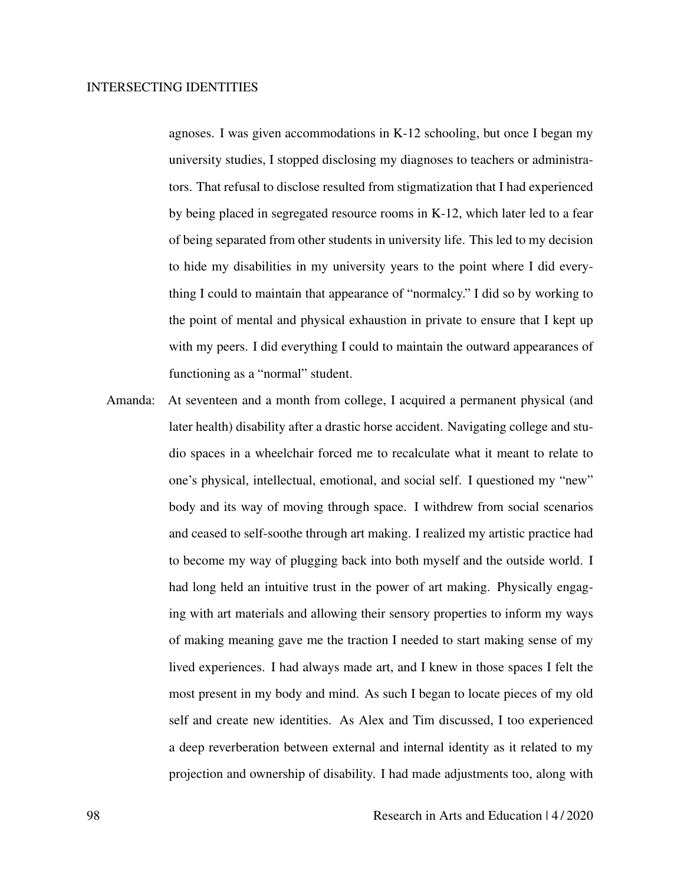agnoses. I was given accommodations in K-12 schooling, but once I began my university studies, I stopped disclosing my diagnoses to teachers or administrators. That refusal to disclose resulted from stigmatization that I had experienced by being placed in segregated resource rooms in K-12, which later led to a fear of being separated from other students in university life. This led to my decision to hide my disabilities in my university years to the point where I did everything I could to maintain that appearance of "normalcy." I did so by working to the point of mental and physical exhaustion in private to ensure that I kept up with my peers. I did everything I could to maintain the outward appearances of functioning as a "normal" student.

Amanda: At seventeen and a month from college, I acquired a permanent physical (and later health) disability after a drastic horse accident. Navigating college and studio spaces in a wheelchair forced me to recalculate what it meant to relate to one's physical, intellectual, emotional, and social self. I questioned my "new" body and its way of moving through space. I withdrew from social scenarios and ceased to self-soothe through art making. I realized my artistic practice had to become my way of plugging back into both myself and the outside world. I had long held an intuitive trust in the power of art making. Physically engaging with art materials and allowing their sensory properties to inform my ways of making meaning gave me the traction I needed to start making sense of my lived experiences. I had always made art, and I knew in those spaces I felt the most present in my body and mind. As such I began to locate pieces of my old self and create new identities. As Alex and Tim discussed, I too experienced a deep reverberation between external and internal identity as it related to my projection and ownership of disability. I had made adjustments too, along with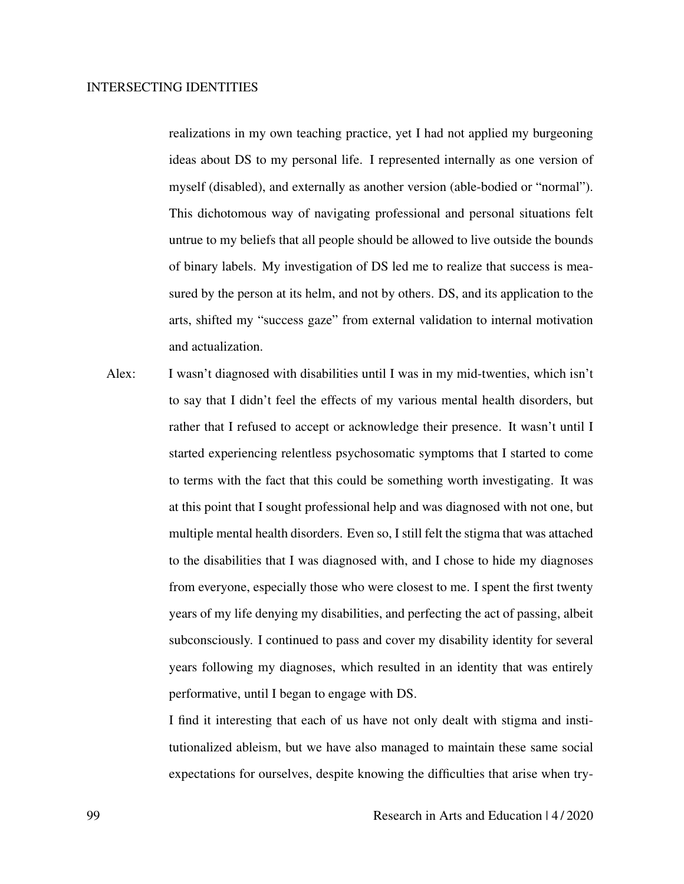realizations in my own teaching practice, yet I had not applied my burgeoning ideas about DS to my personal life. I represented internally as one version of myself (disabled), and externally as another version (able-bodied or "normal"). This dichotomous way of navigating professional and personal situations felt untrue to my beliefs that all people should be allowed to live outside the bounds of binary labels. My investigation of DS led me to realize that success is measured by the person at its helm, and not by others. DS, and its application to the arts, shifted my "success gaze" from external validation to internal motivation and actualization.

Alex: I wasn't diagnosed with disabilities until I was in my mid-twenties, which isn't to say that I didn't feel the effects of my various mental health disorders, but rather that I refused to accept or acknowledge their presence. It wasn't until I started experiencing relentless psychosomatic symptoms that I started to come to terms with the fact that this could be something worth investigating. It was at this point that I sought professional help and was diagnosed with not one, but multiple mental health disorders. Even so, I still felt the stigma that was attached to the disabilities that I was diagnosed with, and I chose to hide my diagnoses from everyone, especially those who were closest to me. I spent the first twenty years of my life denying my disabilities, and perfecting the act of passing, albeit subconsciously. I continued to pass and cover my disability identity for several years following my diagnoses, which resulted in an identity that was entirely performative, until I began to engage with DS.

> I find it interesting that each of us have not only dealt with stigma and institutionalized ableism, but we have also managed to maintain these same social expectations for ourselves, despite knowing the difficulties that arise when try-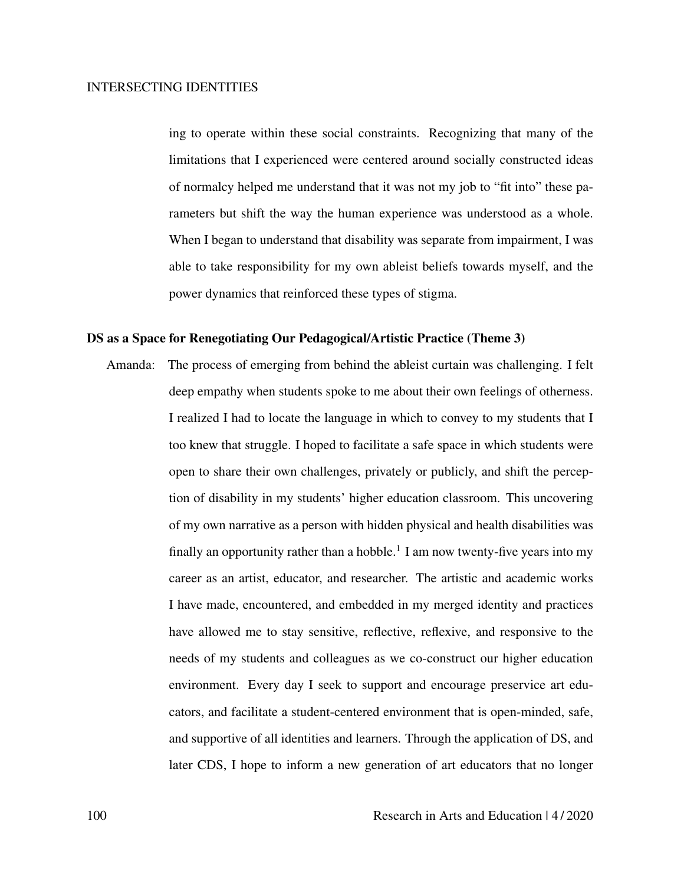ing to operate within these social constraints. Recognizing that many of the limitations that I experienced were centered around socially constructed ideas of normalcy helped me understand that it was not my job to "fit into" these parameters but shift the way the human experience was understood as a whole. When I began to understand that disability was separate from impairment, I was able to take responsibility for my own ableist beliefs towards myself, and the power dynamics that reinforced these types of stigma.

# DS as a Space for Renegotiating Our Pedagogical/Artistic Practice (Theme 3)

Amanda: The process of emerging from behind the ableist curtain was challenging. I felt deep empathy when students spoke to me about their own feelings of otherness. I realized I had to locate the language in which to convey to my students that I too knew that struggle. I hoped to facilitate a safe space in which students were open to share their own challenges, privately or publicly, and shift the perception of disability in my students' higher education classroom. This uncovering of my own narrative as a person with hidden physical and health disabilities was finally an opportunity rather than a hobble.<sup>1</sup> I am now twenty-five years into my career as an artist, educator, and researcher. The artistic and academic works I have made, encountered, and embedded in my merged identity and practices have allowed me to stay sensitive, reflective, reflexive, and responsive to the needs of my students and colleagues as we co-construct our higher education environment. Every day I seek to support and encourage preservice art educators, and facilitate a student-centered environment that is open-minded, safe, and supportive of all identities and learners. Through the application of DS, and later CDS, I hope to inform a new generation of art educators that no longer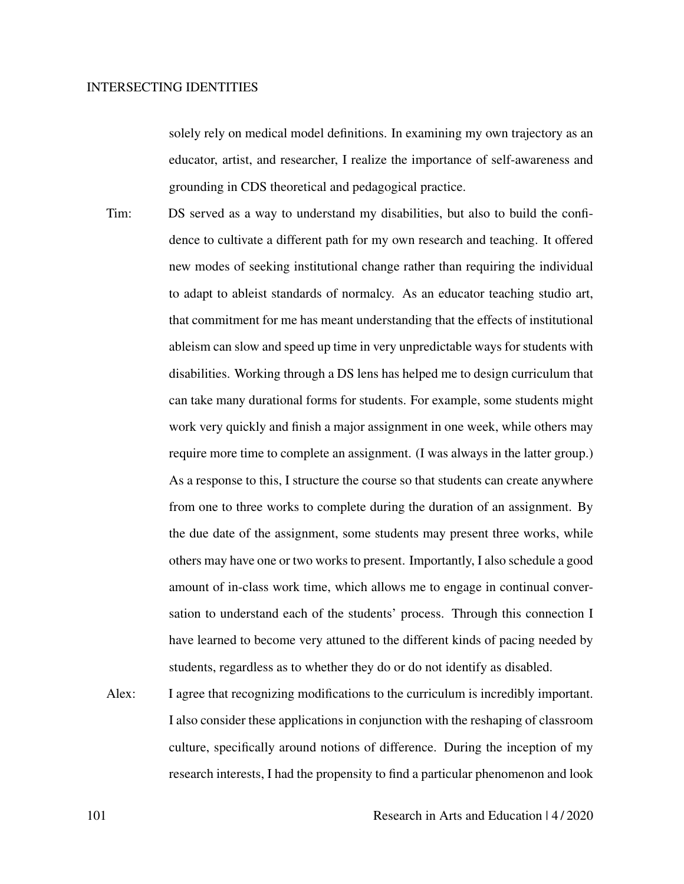solely rely on medical model definitions. In examining my own trajectory as an educator, artist, and researcher, I realize the importance of self-awareness and grounding in CDS theoretical and pedagogical practice.

- Tim: DS served as a way to understand my disabilities, but also to build the confidence to cultivate a different path for my own research and teaching. It offered new modes of seeking institutional change rather than requiring the individual to adapt to ableist standards of normalcy. As an educator teaching studio art, that commitment for me has meant understanding that the effects of institutional ableism can slow and speed up time in very unpredictable ways for students with disabilities. Working through a DS lens has helped me to design curriculum that can take many durational forms for students. For example, some students might work very quickly and finish a major assignment in one week, while others may require more time to complete an assignment. (I was always in the latter group.) As a response to this, I structure the course so that students can create anywhere from one to three works to complete during the duration of an assignment. By the due date of the assignment, some students may present three works, while others may have one or two works to present. Importantly, I also schedule a good amount of in-class work time, which allows me to engage in continual conversation to understand each of the students' process. Through this connection I have learned to become very attuned to the different kinds of pacing needed by students, regardless as to whether they do or do not identify as disabled.
- Alex: I agree that recognizing modifications to the curriculum is incredibly important. I also consider these applications in conjunction with the reshaping of classroom culture, specifically around notions of difference. During the inception of my research interests, I had the propensity to find a particular phenomenon and look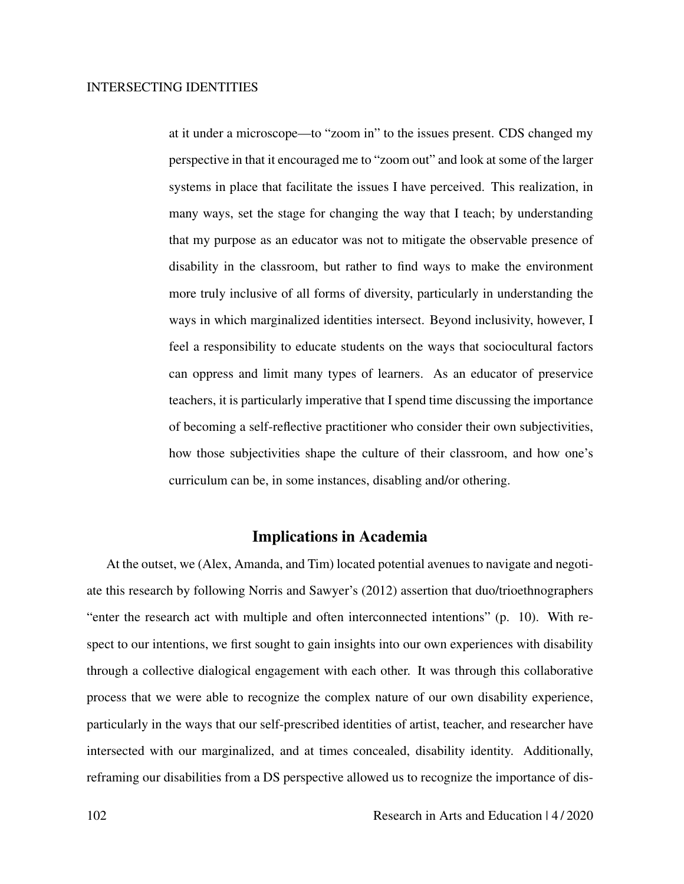at it under a microscope—to "zoom in" to the issues present. CDS changed my perspective in that it encouraged me to "zoom out" and look at some of the larger systems in place that facilitate the issues I have perceived. This realization, in many ways, set the stage for changing the way that I teach; by understanding that my purpose as an educator was not to mitigate the observable presence of disability in the classroom, but rather to find ways to make the environment more truly inclusive of all forms of diversity, particularly in understanding the ways in which marginalized identities intersect. Beyond inclusivity, however, I feel a responsibility to educate students on the ways that sociocultural factors can oppress and limit many types of learners. As an educator of preservice teachers, it is particularly imperative that I spend time discussing the importance of becoming a self-reflective practitioner who consider their own subjectivities, how those subjectivities shape the culture of their classroom, and how one's curriculum can be, in some instances, disabling and/or othering.

# Implications in Academia

At the outset, we (Alex, Amanda, and Tim) located potential avenues to navigate and negotiate this research by following Norris and Sawyer's (2012) assertion that duo/trioethnographers "enter the research act with multiple and often interconnected intentions" (p. 10). With respect to our intentions, we first sought to gain insights into our own experiences with disability through a collective dialogical engagement with each other. It was through this collaborative process that we were able to recognize the complex nature of our own disability experience, particularly in the ways that our self-prescribed identities of artist, teacher, and researcher have intersected with our marginalized, and at times concealed, disability identity. Additionally, reframing our disabilities from a DS perspective allowed us to recognize the importance of dis-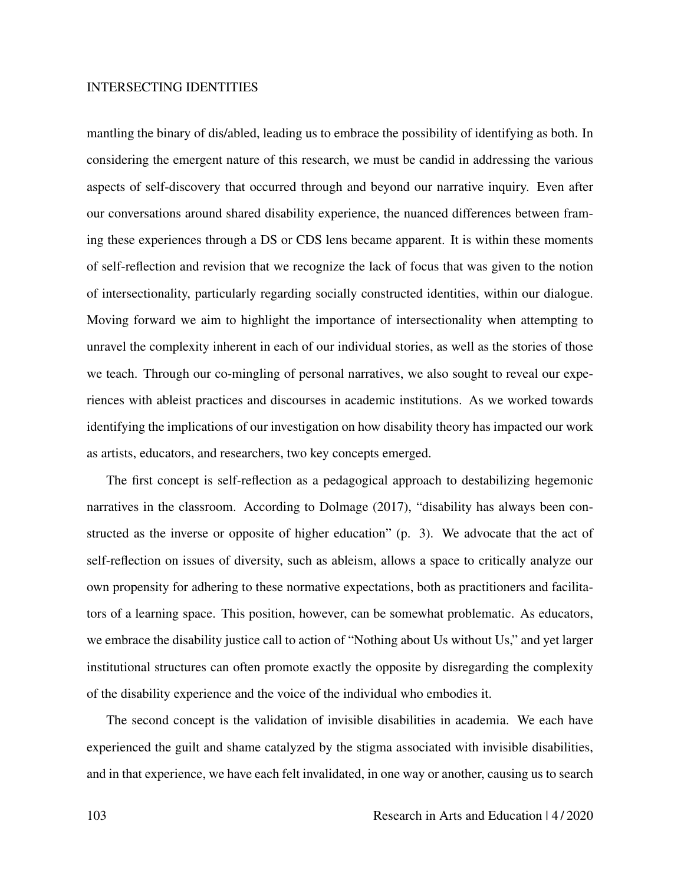mantling the binary of dis/abled, leading us to embrace the possibility of identifying as both. In considering the emergent nature of this research, we must be candid in addressing the various aspects of self-discovery that occurred through and beyond our narrative inquiry. Even after our conversations around shared disability experience, the nuanced differences between framing these experiences through a DS or CDS lens became apparent. It is within these moments of self-reflection and revision that we recognize the lack of focus that was given to the notion of intersectionality, particularly regarding socially constructed identities, within our dialogue. Moving forward we aim to highlight the importance of intersectionality when attempting to unravel the complexity inherent in each of our individual stories, as well as the stories of those we teach. Through our co-mingling of personal narratives, we also sought to reveal our experiences with ableist practices and discourses in academic institutions. As we worked towards identifying the implications of our investigation on how disability theory has impacted our work as artists, educators, and researchers, two key concepts emerged.

The first concept is self-reflection as a pedagogical approach to destabilizing hegemonic narratives in the classroom. According to Dolmage (2017), "disability has always been constructed as the inverse or opposite of higher education" (p. 3). We advocate that the act of self-reflection on issues of diversity, such as ableism, allows a space to critically analyze our own propensity for adhering to these normative expectations, both as practitioners and facilitators of a learning space. This position, however, can be somewhat problematic. As educators, we embrace the disability justice call to action of "Nothing about Us without Us," and yet larger institutional structures can often promote exactly the opposite by disregarding the complexity of the disability experience and the voice of the individual who embodies it.

The second concept is the validation of invisible disabilities in academia. We each have experienced the guilt and shame catalyzed by the stigma associated with invisible disabilities, and in that experience, we have each felt invalidated, in one way or another, causing us to search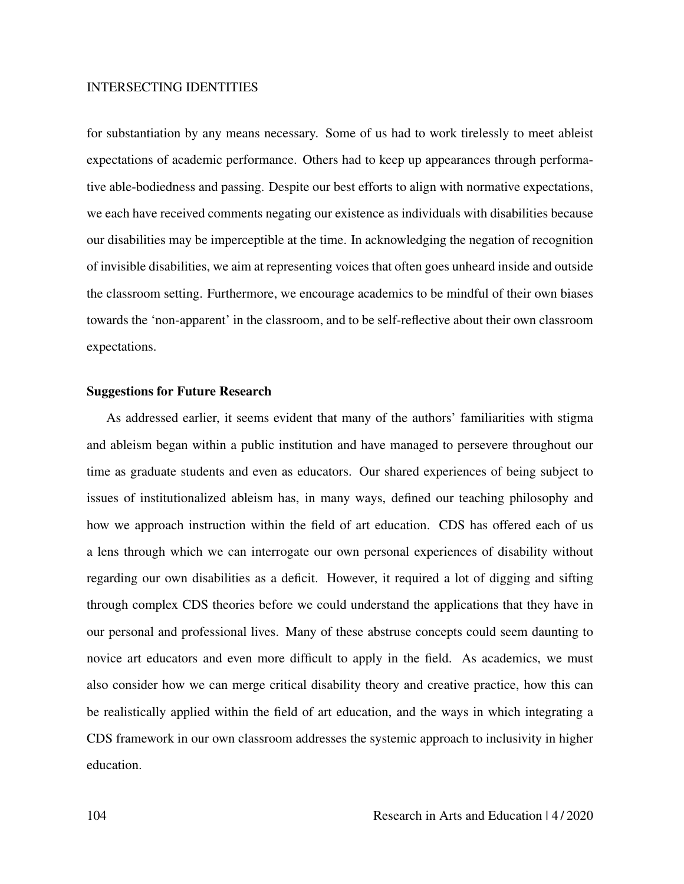for substantiation by any means necessary. Some of us had to work tirelessly to meet ableist expectations of academic performance. Others had to keep up appearances through performative able-bodiedness and passing. Despite our best efforts to align with normative expectations, we each have received comments negating our existence as individuals with disabilities because our disabilities may be imperceptible at the time. In acknowledging the negation of recognition of invisible disabilities, we aim at representing voices that often goes unheard inside and outside the classroom setting. Furthermore, we encourage academics to be mindful of their own biases towards the 'non-apparent' in the classroom, and to be self-reflective about their own classroom expectations.

#### Suggestions for Future Research

As addressed earlier, it seems evident that many of the authors' familiarities with stigma and ableism began within a public institution and have managed to persevere throughout our time as graduate students and even as educators. Our shared experiences of being subject to issues of institutionalized ableism has, in many ways, defined our teaching philosophy and how we approach instruction within the field of art education. CDS has offered each of us a lens through which we can interrogate our own personal experiences of disability without regarding our own disabilities as a deficit. However, it required a lot of digging and sifting through complex CDS theories before we could understand the applications that they have in our personal and professional lives. Many of these abstruse concepts could seem daunting to novice art educators and even more difficult to apply in the field. As academics, we must also consider how we can merge critical disability theory and creative practice, how this can be realistically applied within the field of art education, and the ways in which integrating a CDS framework in our own classroom addresses the systemic approach to inclusivity in higher education.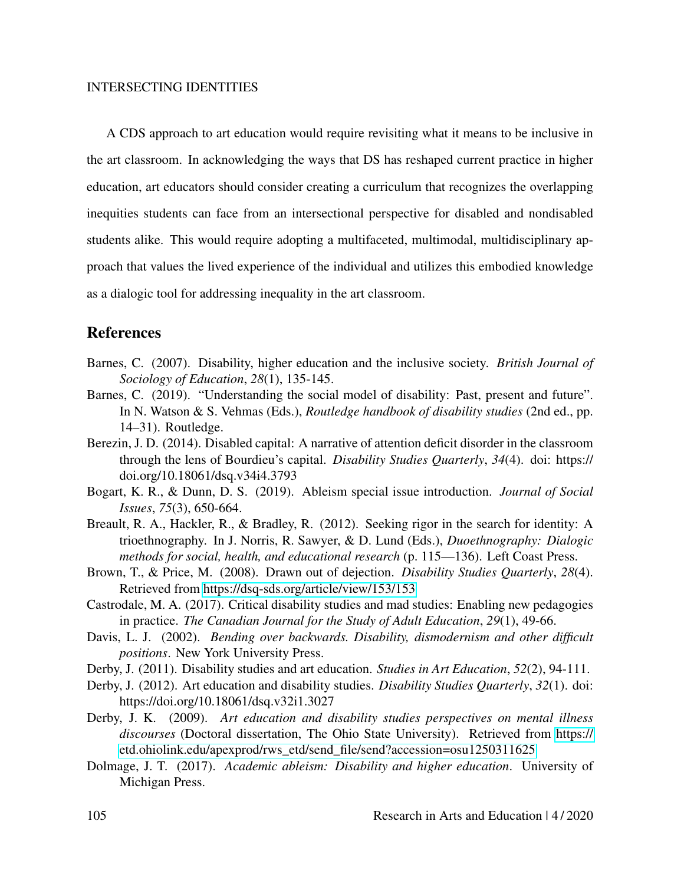A CDS approach to art education would require revisiting what it means to be inclusive in the art classroom. In acknowledging the ways that DS has reshaped current practice in higher education, art educators should consider creating a curriculum that recognizes the overlapping inequities students can face from an intersectional perspective for disabled and nondisabled students alike. This would require adopting a multifaceted, multimodal, multidisciplinary approach that values the lived experience of the individual and utilizes this embodied knowledge as a dialogic tool for addressing inequality in the art classroom.

# References

- Barnes, C. (2007). Disability, higher education and the inclusive society. *British Journal of Sociology of Education*, *28*(1), 135-145.
- Barnes, C. (2019). "Understanding the social model of disability: Past, present and future". In N. Watson & S. Vehmas (Eds.), *Routledge handbook of disability studies* (2nd ed., pp. 14–31). Routledge.
- Berezin, J. D. (2014). Disabled capital: A narrative of attention deficit disorder in the classroom through the lens of Bourdieu's capital. *Disability Studies Quarterly*, *34*(4). doi: https:// doi.org/10.18061/dsq.v34i4.3793
- Bogart, K. R., & Dunn, D. S. (2019). Ableism special issue introduction. *Journal of Social Issues*, *75*(3), 650-664.
- Breault, R. A., Hackler, R., & Bradley, R. (2012). Seeking rigor in the search for identity: A trioethnography. In J. Norris, R. Sawyer, & D. Lund (Eds.), *Duoethnography: Dialogic methods for social, health, and educational research* (p. 115—136). Left Coast Press.
- Brown, T., & Price, M. (2008). Drawn out of dejection. *Disability Studies Quarterly*, *28*(4). Retrieved from<https://dsq-sds.org/article/view/153/153>
- Castrodale, M. A. (2017). Critical disability studies and mad studies: Enabling new pedagogies in practice. *The Canadian Journal for the Study of Adult Education*, *29*(1), 49-66.
- Davis, L. J. (2002). *Bending over backwards. Disability, dismodernism and other difficult positions*. New York University Press.
- Derby, J. (2011). Disability studies and art education. *Studies in Art Education*, *52*(2), 94-111.
- Derby, J. (2012). Art education and disability studies. *Disability Studies Quarterly*, *32*(1). doi: https://doi.org/10.18061/dsq.v32i1.3027
- Derby, J. K. (2009). *Art education and disability studies perspectives on mental illness discourses* (Doctoral dissertation, The Ohio State University). Retrieved from [https://](https://etd.ohiolink.edu/apexprod/rws_etd/send_file/send?accession=osu1250311625) [etd.ohiolink.edu/apexprod/rws\\_etd/send\\_file/send?accession=osu1250311625](https://etd.ohiolink.edu/apexprod/rws_etd/send_file/send?accession=osu1250311625)
- Dolmage, J. T. (2017). *Academic ableism: Disability and higher education*. University of Michigan Press.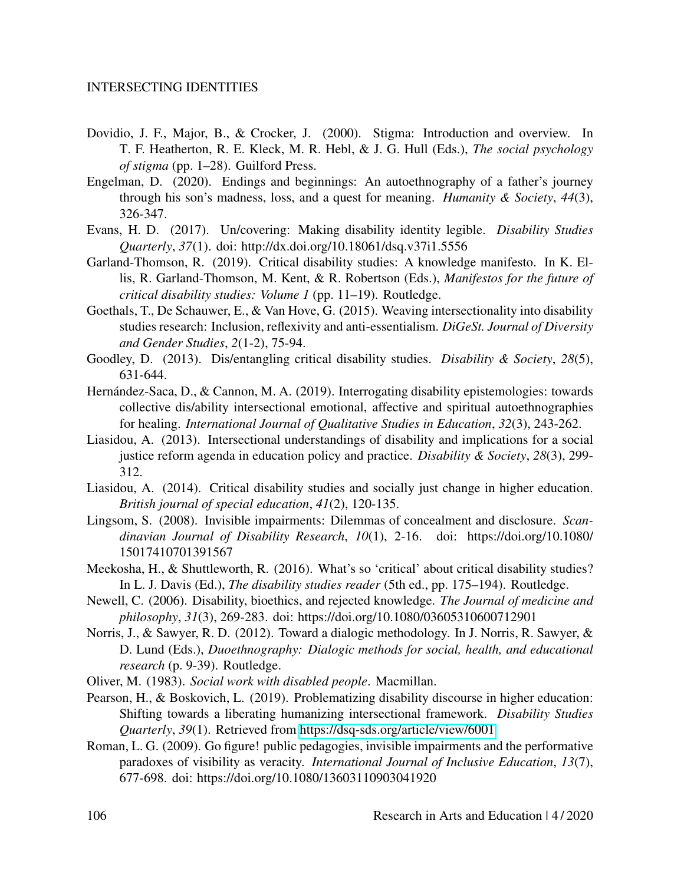- Dovidio, J. F., Major, B., & Crocker, J. (2000). Stigma: Introduction and overview. In T. F. Heatherton, R. E. Kleck, M. R. Hebl, & J. G. Hull (Eds.), *The social psychology of stigma* (pp. 1–28). Guilford Press.
- Engelman, D. (2020). Endings and beginnings: An autoethnography of a father's journey through his son's madness, loss, and a quest for meaning. *Humanity & Society*, *44*(3), 326-347.
- Evans, H. D. (2017). Un/covering: Making disability identity legible. *Disability Studies Quarterly*, *37*(1). doi: http://dx.doi.org/10.18061/dsq.v37i1.5556
- Garland-Thomson, R. (2019). Critical disability studies: A knowledge manifesto. In K. Ellis, R. Garland-Thomson, M. Kent, & R. Robertson (Eds.), *Manifestos for the future of critical disability studies: Volume 1* (pp. 11–19). Routledge.
- Goethals, T., De Schauwer, E., & Van Hove, G. (2015). Weaving intersectionality into disability studies research: Inclusion, reflexivity and anti-essentialism. *DiGeSt. Journal of Diversity and Gender Studies*, *2*(1-2), 75-94.
- Goodley, D. (2013). Dis/entangling critical disability studies. *Disability & Society*, *28*(5), 631-644.
- Hernández-Saca, D., & Cannon, M. A. (2019). Interrogating disability epistemologies: towards collective dis/ability intersectional emotional, affective and spiritual autoethnographies for healing. *International Journal of Qualitative Studies in Education*, *32*(3), 243-262.
- Liasidou, A. (2013). Intersectional understandings of disability and implications for a social justice reform agenda in education policy and practice. *Disability & Society*, *28*(3), 299- 312.
- Liasidou, A. (2014). Critical disability studies and socially just change in higher education. *British journal of special education*, *41*(2), 120-135.
- Lingsom, S. (2008). Invisible impairments: Dilemmas of concealment and disclosure. *Scandinavian Journal of Disability Research*, *10*(1), 2-16. doi: https://doi.org/10.1080/ 15017410701391567
- Meekosha, H., & Shuttleworth, R. (2016). What's so 'critical' about critical disability studies? In L. J. Davis (Ed.), *The disability studies reader* (5th ed., pp. 175–194). Routledge.
- Newell, C. (2006). Disability, bioethics, and rejected knowledge. *The Journal of medicine and philosophy*, *31*(3), 269-283. doi: https://doi.org/10.1080/03605310600712901
- Norris, J., & Sawyer, R. D. (2012). Toward a dialogic methodology. In J. Norris, R. Sawyer, & D. Lund (Eds.), *Duoethnography: Dialogic methods for social, health, and educational research* (p. 9-39). Routledge.
- Oliver, M. (1983). *Social work with disabled people*. Macmillan.
- Pearson, H., & Boskovich, L. (2019). Problematizing disability discourse in higher education: Shifting towards a liberating humanizing intersectional framework. *Disability Studies Quarterly*, *39*(1). Retrieved from<https://dsq-sds.org/article/view/6001>
- Roman, L. G. (2009). Go figure! public pedagogies, invisible impairments and the performative paradoxes of visibility as veracity. *International Journal of Inclusive Education*, *13*(7), 677-698. doi: https://doi.org/10.1080/13603110903041920